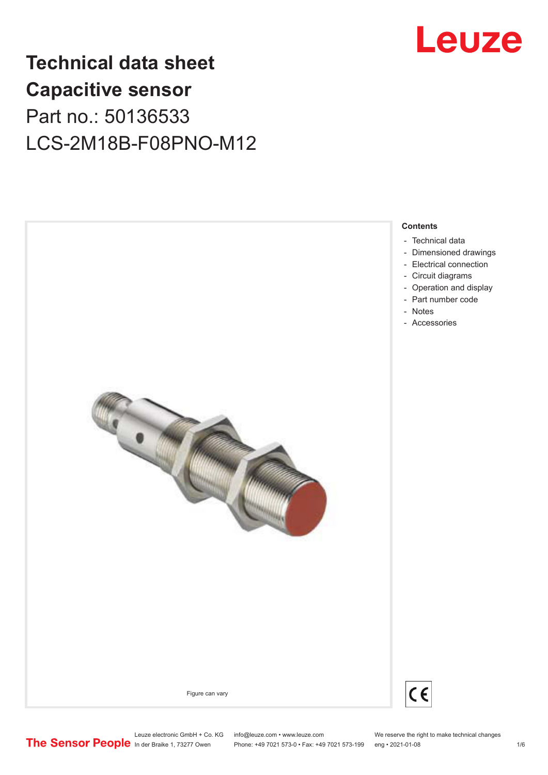

**Contents**

## **Technical data sheet Capacitive sensor** Part no.: 50136533 LCS-2M18B-F08PNO-M12





Leuze electronic GmbH + Co. KG info@leuze.com • www.leuze.com We reserve the right to make technical changes<br>
The Sensor People in der Braike 1, 73277 Owen Phone: +49 7021 573-0 • Fax: +49 7021 573-199 eng • 2021-01-08 Phone: +49 7021 573-0 • Fax: +49 7021 573-199 eng • 2021-01-08 1/6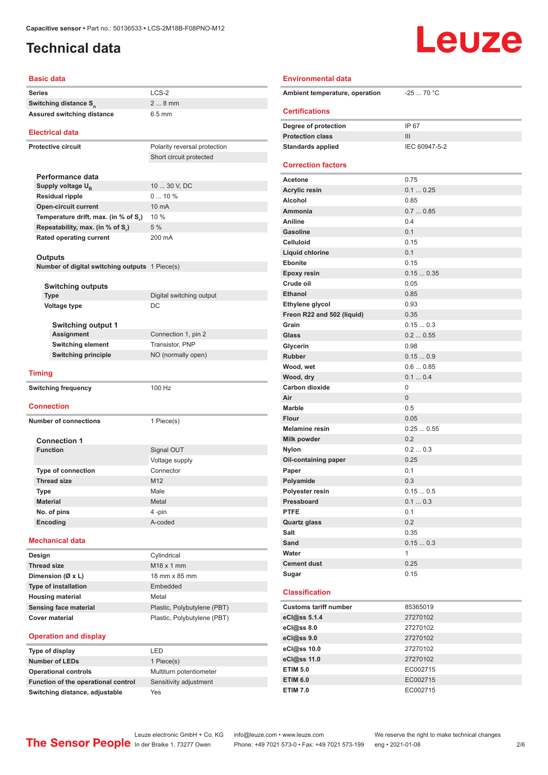### <span id="page-1-0"></span>**Technical data**

# Leuze

#### **Basic data**

| <b>Basic data</b>                              |                              |  |
|------------------------------------------------|------------------------------|--|
| <b>Series</b>                                  | $LCS-2$                      |  |
| Switching distance S <sub>n</sub>              | $28$ mm                      |  |
| <b>Assured switching distance</b>              | $6.5 \text{ mm}$             |  |
| <b>Electrical data</b>                         |                              |  |
| <b>Protective circuit</b>                      | Polarity reversal protection |  |
|                                                | Short circuit protected      |  |
|                                                |                              |  |
| Performance data                               |                              |  |
| Supply voltage U <sub>R</sub>                  | 10  30 V, DC                 |  |
| <b>Residual ripple</b>                         | 010%                         |  |
| <b>Open-circuit current</b>                    | 10 mA<br>10 %                |  |
| Temperature drift, max. (in % of S,)           | 5%                           |  |
| Repeatability, max. (in % of S.)               | 200 mA                       |  |
| <b>Rated operating current</b>                 |                              |  |
| Outputs                                        |                              |  |
| Number of digital switching outputs 1 Piece(s) |                              |  |
|                                                |                              |  |
| <b>Switching outputs</b>                       |                              |  |
| <b>Type</b>                                    | Digital switching output     |  |
| <b>Voltage type</b>                            | DC                           |  |
|                                                |                              |  |
| <b>Switching output 1</b>                      |                              |  |
| <b>Assignment</b>                              | Connection 1, pin 2          |  |
| <b>Switching element</b>                       | Transistor, PNP              |  |
| <b>Switching principle</b>                     | NO (normally open)           |  |
| <b>Timing</b>                                  |                              |  |
|                                                | 100 Hz                       |  |
| <b>Switching frequency</b>                     |                              |  |
| <b>Connection</b>                              |                              |  |
| <b>Number of connections</b>                   |                              |  |
|                                                | 1 Piece(s)                   |  |
| <b>Connection 1</b>                            |                              |  |
| <b>Function</b>                                | Signal OUT                   |  |
|                                                | Voltage supply               |  |
| <b>Type of connection</b>                      | Connector                    |  |
| <b>Thread size</b>                             | M12                          |  |
| Type                                           | Male                         |  |
| <b>Material</b>                                | Metal                        |  |
| No. of pins                                    | 4 -pin                       |  |
| Encoding                                       | A-coded                      |  |
| <b>Mechanical data</b>                         |                              |  |
| Design                                         | Cylindrical                  |  |
| <b>Thread size</b>                             | M18 x 1 mm                   |  |
| Dimension (Ø x L)                              | 18 mm x 85 mm                |  |
| <b>Type of installation</b>                    | Embedded                     |  |
| <b>Housing material</b>                        | Metal                        |  |
|                                                |                              |  |
| Sensing face material                          | Plastic, Polybutylene (PBT)  |  |
| <b>Cover material</b>                          | Plastic, Polybutylene (PBT)  |  |

#### **Operation and display**

| Type of display                     | I FD                    |
|-------------------------------------|-------------------------|
| <b>Number of LEDs</b>               | 1 Piece(s)              |
| <b>Operational controls</b>         | Multiturn potentiometer |
| Function of the operational control | Sensitivity adjustment  |
| Switching distance, adjustable      | Yes                     |

| I FD                    |
|-------------------------|
| 1 Piece(s)              |
| Multiturn potentiometer |
| Sensitivity adjustment  |
|                         |

| <b>Environmental data</b>      |                 |
|--------------------------------|-----------------|
| Ambient temperature, operation | $-2570 °C$      |
| <b>Certifications</b>          |                 |
| Degree of protection           | IP 67           |
| <b>Protection class</b>        | III             |
| <b>Standards applied</b>       | IEC 60947-5-2   |
| <b>Correction factors</b>      |                 |
| Acetone                        | 0.75            |
| <b>Acrylic resin</b>           | 0.10.25         |
| <b>Alcohol</b>                 | 0.85            |
| Ammonia                        | 0.70.85         |
| Aniline                        | 0.4             |
| Gasoline                       | 0.1             |
| Celluloid                      | 0.15            |
| Liquid chlorine                | 0.1             |
| <b>Ebonite</b>                 | 0.15            |
| <b>Epoxy resin</b>             | 0.150.35        |
| Crude oil                      | 0.05            |
| <b>Ethanol</b>                 | 0.85            |
| Ethylene glycol                | 0.93            |
| Freon R22 and 502 (liquid)     | 0.35            |
| Grain                          | 0.150.3         |
| Glass                          | 0.20.55         |
| Glycerin                       | 0.98            |
| <b>Rubber</b>                  | 0.150.9         |
| Wood, wet                      | 0.60.85         |
| Wood, dry                      | 0.10.4          |
| <b>Carbon dioxide</b>          | 0               |
| Air                            | $\overline{0}$  |
| <b>Marble</b>                  | 0.5             |
| Flour<br><b>Melamine resin</b> | 0.05            |
| Milk powder                    | 0.250.55<br>0.2 |
| <b>Nylon</b>                   | 0.20.3          |
| Oil-containing paper           | 0.25            |
| Paper                          | 0.1             |
| Polyamide                      | 0.3             |
| Polyester resin                | 0.150.5         |
| Pressboard                     | 0.10.3          |
| <b>PTFE</b>                    | 0.1             |
| <b>Quartz glass</b>            | 0.2             |
| Salt                           | 0.35            |
| Sand                           | 0.150.3         |
| Water                          | 1               |
| <b>Cement dust</b>             | 0.25            |
| Sugar                          | 0.15            |
|                                |                 |
| <b>Classification</b>          |                 |
| <b>Customs tariff number</b>   | 85365019        |
| eCl@ss 5.1.4                   | 27270102        |
| eCl@ss 8.0                     | 27270102        |
| eCl@ss 9.0                     | 27270102        |
| eCl@ss 10.0                    | 27270102        |
| eCl@ss 11.0                    | 27270102        |
| <b>ETIM 5.0</b>                | EC002715        |
| <b>ETIM 6.0</b>                | EC002715        |

Leuze electronic GmbH + Co. KG info@leuze.com • www.leuze.com We reserve the right to make technical changes<br>
The Sensor People in der Braike 1, 73277 Owen Phone: +49 7021 573-0 • Fax: +49 7021 573-199 eng • 2021-01-08

Phone: +49 7021 573-0 • Fax: +49 7021 573-199 eng • 2021-01-08 2 2 /6

**ETIM 7.0** EC002715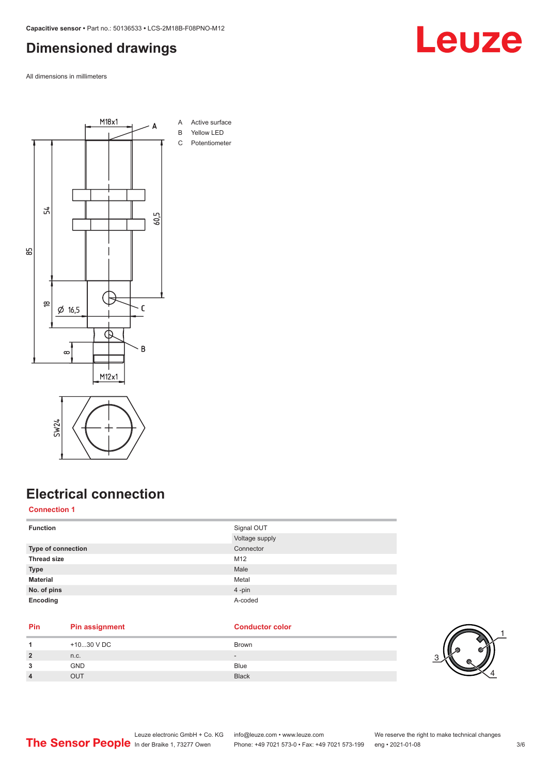#### <span id="page-2-0"></span>**Dimensioned drawings**

All dimensions in millimeters





### **Electrical connection**

#### **Connection 1**

| <b>Function</b>    | Signal OUT<br>Voltage supply |
|--------------------|------------------------------|
| Type of connection | Connector                    |
| <b>Thread size</b> | M12                          |
| <b>Type</b>        | Male                         |
| <b>Material</b>    | Metal                        |
| No. of pins        | 4-pin                        |
| Encoding           | A-coded                      |

#### **Pin Pin assignment Conductor Conductor Color**

| 4              | +1030 V DC | Brown        |
|----------------|------------|--------------|
| $\overline{2}$ | n.c.       | $\sim$       |
| 3              | <b>GND</b> | <b>Blue</b>  |
| 4              | OUT        | <b>Black</b> |



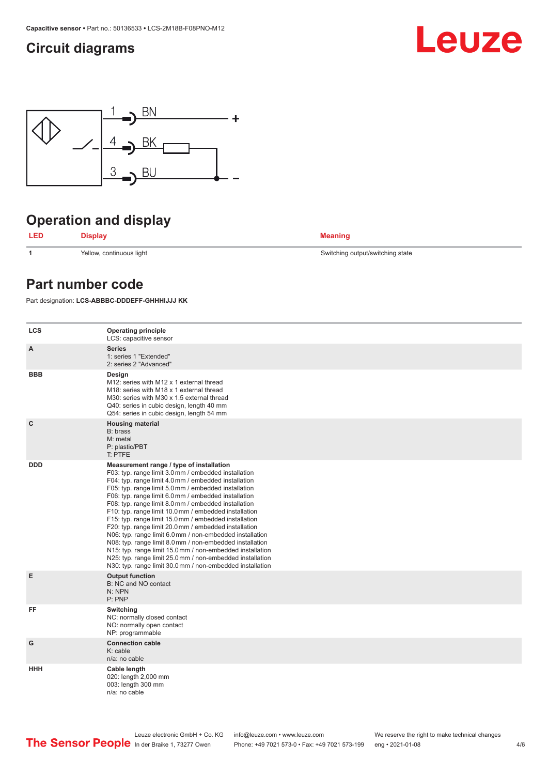### <span id="page-3-0"></span>**Circuit diagrams**





### **Operation and display**



**1** Yellow, continuous light Switching output/switching state

#### **Part number code**

Part designation: **LCS-ABBBC-DDDEFF-GHHHIJJJ KK**

| <b>LCS</b>   | <b>Operating principle</b><br>LCS: capacitive sensor                                                                                                                                                                                                                                                                                                                                                                                                                                                                                                                                                                                                                                                                                                                                                                       |
|--------------|----------------------------------------------------------------------------------------------------------------------------------------------------------------------------------------------------------------------------------------------------------------------------------------------------------------------------------------------------------------------------------------------------------------------------------------------------------------------------------------------------------------------------------------------------------------------------------------------------------------------------------------------------------------------------------------------------------------------------------------------------------------------------------------------------------------------------|
| A            | <b>Series</b><br>1: series 1 "Extended"<br>2: series 2 "Advanced"                                                                                                                                                                                                                                                                                                                                                                                                                                                                                                                                                                                                                                                                                                                                                          |
| <b>BBB</b>   | Design<br>M12: series with M12 x 1 external thread<br>M18: series with M18 x 1 external thread<br>M30: series with M30 x 1.5 external thread<br>Q40: series in cubic design, length 40 mm<br>Q54: series in cubic design, length 54 mm                                                                                                                                                                                                                                                                                                                                                                                                                                                                                                                                                                                     |
| $\mathbf{C}$ | <b>Housing material</b><br>B: brass<br>M: metal<br>P: plastic/PBT<br>T: PTFE                                                                                                                                                                                                                                                                                                                                                                                                                                                                                                                                                                                                                                                                                                                                               |
| <b>DDD</b>   | Measurement range / type of installation<br>F03: typ. range limit 3.0 mm / embedded installation<br>F04: typ. range limit 4.0 mm / embedded installation<br>F05: typ. range limit 5.0 mm / embedded installation<br>F06: typ. range limit 6.0 mm / embedded installation<br>F08: typ. range limit 8.0 mm / embedded installation<br>F10: typ. range limit 10.0 mm / embedded installation<br>F15: typ. range limit 15.0 mm / embedded installation<br>F20: typ. range limit 20.0 mm / embedded installation<br>N06: typ. range limit 6.0 mm / non-embedded installation<br>N08: typ. range limit 8.0 mm / non-embedded installation<br>N15: typ. range limit 15.0 mm / non-embedded installation<br>N25: typ. range limit 25.0 mm / non-embedded installation<br>N30: typ. range limit 30.0 mm / non-embedded installation |
| E            | <b>Output function</b><br>B: NC and NO contact<br>N: NPN<br>P: PNP                                                                                                                                                                                                                                                                                                                                                                                                                                                                                                                                                                                                                                                                                                                                                         |
| FF           | Switching<br>NC: normally closed contact<br>NO: normally open contact<br>NP: programmable                                                                                                                                                                                                                                                                                                                                                                                                                                                                                                                                                                                                                                                                                                                                  |
| G            | <b>Connection cable</b><br>K: cable<br>n/a: no cable                                                                                                                                                                                                                                                                                                                                                                                                                                                                                                                                                                                                                                                                                                                                                                       |
| <b>HHH</b>   | Cable length<br>020: length 2,000 mm<br>003: length 300 mm<br>$n/a$ : no cable                                                                                                                                                                                                                                                                                                                                                                                                                                                                                                                                                                                                                                                                                                                                             |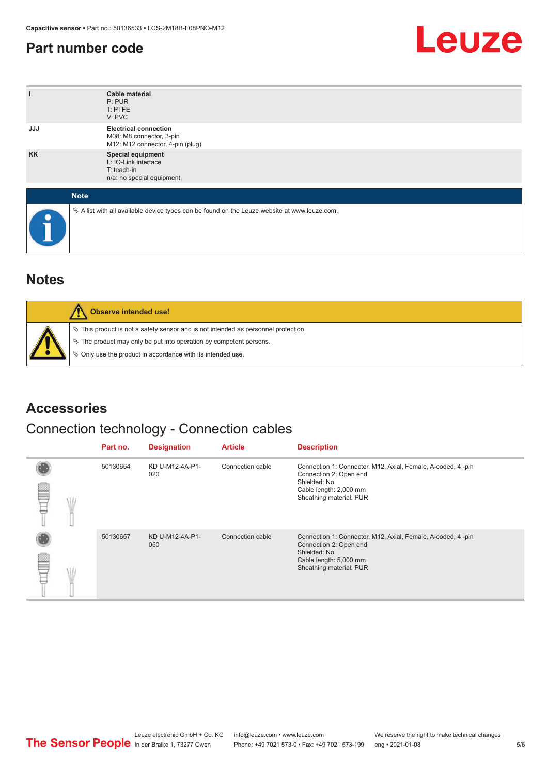#### <span id="page-4-0"></span>**Part number code**



| ı          | <b>Cable material</b><br>P: PUR<br>T: PTFE<br>V: PVC                                            |
|------------|-------------------------------------------------------------------------------------------------|
| <b>JJJ</b> | <b>Electrical connection</b><br>M08: M8 connector, 3-pin<br>M12: M12 connector, 4-pin (plug)    |
| <b>KK</b>  | Special equipment<br>L: IO-Link interface<br>T: teach-in<br>n/a: no special equipment           |
|            | <b>Note</b>                                                                                     |
| œ          | $\&$ A list with all available device types can be found on the Leuze website at www.leuze.com. |

#### **Notes**

| Observe intended use!                                                                                                                                                                                                      |
|----------------------------------------------------------------------------------------------------------------------------------------------------------------------------------------------------------------------------|
| $\%$ This product is not a safety sensor and is not intended as personnel protection.<br>§ The product may only be put into operation by competent persons.<br>♦ Only use the product in accordance with its intended use. |

#### **Accessories**

### Connection technology - Connection cables

|  | Part no. | <b>Designation</b>     | <b>Article</b>   | <b>Description</b>                                                                                                                                         |
|--|----------|------------------------|------------------|------------------------------------------------------------------------------------------------------------------------------------------------------------|
|  | 50130654 | KD U-M12-4A-P1-<br>020 | Connection cable | Connection 1: Connector, M12, Axial, Female, A-coded, 4-pin<br>Connection 2: Open end<br>Shielded: No<br>Cable length: 2,000 mm<br>Sheathing material: PUR |
|  | 50130657 | KD U-M12-4A-P1-<br>050 | Connection cable | Connection 1: Connector, M12, Axial, Female, A-coded, 4-pin<br>Connection 2: Open end<br>Shielded: No<br>Cable length: 5,000 mm<br>Sheathing material: PUR |